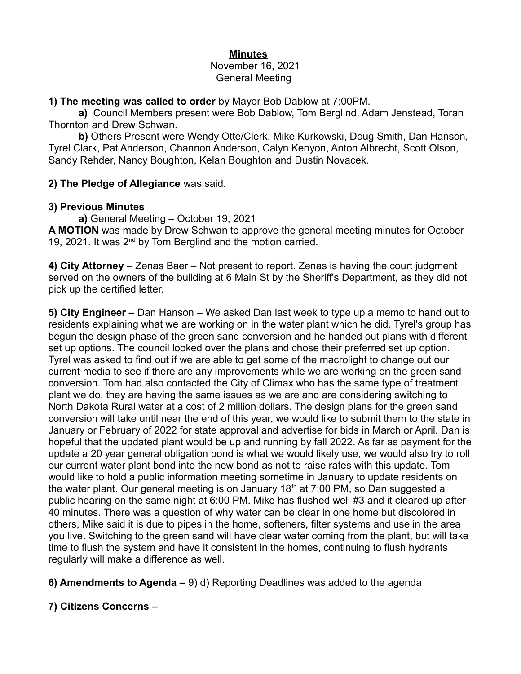#### **Minutes** November 16, 2021 General Meeting

### **1) The meeting was called to order** by Mayor Bob Dablow at 7:00PM.

**a)** Council Members present were Bob Dablow, Tom Berglind, Adam Jenstead, Toran Thornton and Drew Schwan.

**b)** Others Present were Wendy Otte/Clerk, Mike Kurkowski, Doug Smith, Dan Hanson, Tyrel Clark, Pat Anderson, Channon Anderson, Calyn Kenyon, Anton Albrecht, Scott Olson, Sandy Rehder, Nancy Boughton, Kelan Boughton and Dustin Novacek.

### **2) The Pledge of Allegiance** was said.

#### **3) Previous Minutes**

**a)** General Meeting – October 19, 2021

**A MOTION** was made by Drew Schwan to approve the general meeting minutes for October 19, 2021. It was  $2^{nd}$  by Tom Berglind and the motion carried.

**4) City Attorney** – Zenas Baer – Not present to report. Zenas is having the court judgment served on the owners of the building at 6 Main St by the Sheriff's Department, as they did not pick up the certified letter.

**5) City Engineer –** Dan Hanson – We asked Dan last week to type up a memo to hand out to residents explaining what we are working on in the water plant which he did. Tyrel's group has begun the design phase of the green sand conversion and he handed out plans with different set up options. The council looked over the plans and chose their preferred set up option. Tyrel was asked to find out if we are able to get some of the macrolight to change out our current media to see if there are any improvements while we are working on the green sand conversion. Tom had also contacted the City of Climax who has the same type of treatment plant we do, they are having the same issues as we are and are considering switching to North Dakota Rural water at a cost of 2 million dollars. The design plans for the green sand conversion will take until near the end of this year, we would like to submit them to the state in January or February of 2022 for state approval and advertise for bids in March or April. Dan is hopeful that the updated plant would be up and running by fall 2022. As far as payment for the update a 20 year general obligation bond is what we would likely use, we would also try to roll our current water plant bond into the new bond as not to raise rates with this update. Tom would like to hold a public information meeting sometime in January to update residents on the water plant. Our general meeting is on January  $18<sup>th</sup>$  at 7:00 PM, so Dan suggested a public hearing on the same night at 6:00 PM. Mike has flushed well #3 and it cleared up after 40 minutes. There was a question of why water can be clear in one home but discolored in others, Mike said it is due to pipes in the home, softeners, filter systems and use in the area you live. Switching to the green sand will have clear water coming from the plant, but will take time to flush the system and have it consistent in the homes, continuing to flush hydrants regularly will make a difference as well.

- **6) Amendments to Agenda –** 9) d) Reporting Deadlines was added to the agenda
- **7) Citizens Concerns**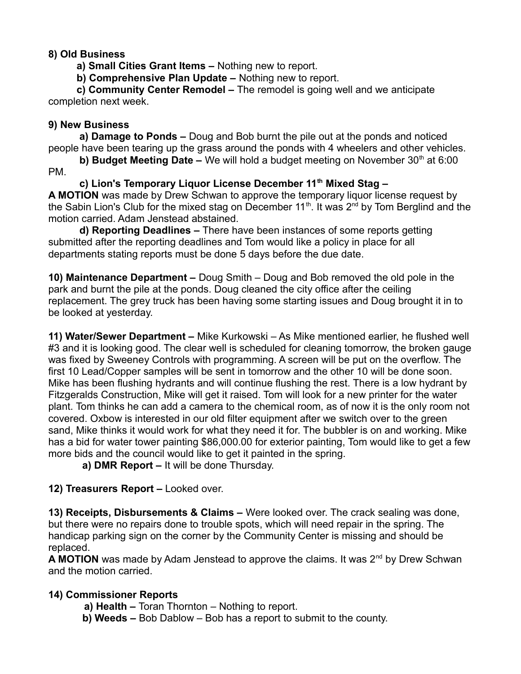## **8) Old Business**

 **a) Small Cities Grant Items –** Nothing new to report.

 **b) Comprehensive Plan Update –** Nothing new to report.

 **c) Community Center Remodel –** The remodel is going well and we anticipate completion next week.

## **9) New Business**

 **a) Damage to Ponds –** Doug and Bob burnt the pile out at the ponds and noticed people have been tearing up the grass around the ponds with 4 wheelers and other vehicles.

**b) Budget Meeting Date –** We will hold a budget meeting on November 30<sup>th</sup> at 6:00 PM.

 **c) Lion's Temporary Liquor License December 11th Mixed Stag – A MOTION** was made by Drew Schwan to approve the temporary liquor license request by the Sabin Lion's Club for the mixed stag on December 11<sup>th</sup>. It was  $2^{nd}$  by Tom Berglind and the motion carried. Adam Jenstead abstained.

 **d) Reporting Deadlines –** There have been instances of some reports getting submitted after the reporting deadlines and Tom would like a policy in place for all departments stating reports must be done 5 days before the due date.

**10) Maintenance Department –** Doug Smith – Doug and Bob removed the old pole in the park and burnt the pile at the ponds. Doug cleaned the city office after the ceiling replacement. The grey truck has been having some starting issues and Doug brought it in to be looked at yesterday.

**11) Water/Sewer Department –** Mike Kurkowski – As Mike mentioned earlier, he flushed well #3 and it is looking good. The clear well is scheduled for cleaning tomorrow, the broken gauge was fixed by Sweeney Controls with programming. A screen will be put on the overflow. The first 10 Lead/Copper samples will be sent in tomorrow and the other 10 will be done soon. Mike has been flushing hydrants and will continue flushing the rest. There is a low hydrant by Fitzgeralds Construction, Mike will get it raised. Tom will look for a new printer for the water plant. Tom thinks he can add a camera to the chemical room, as of now it is the only room not covered. Oxbow is interested in our old filter equipment after we switch over to the green sand, Mike thinks it would work for what they need it for. The bubbler is on and working. Mike has a bid for water tower painting \$86,000.00 for exterior painting, Tom would like to get a few more bids and the council would like to get it painted in the spring.

 **a) DMR Report –** It will be done Thursday.

# **12) Treasurers Report –** Looked over.

**13) Receipts, Disbursements & Claims –** Were looked over. The crack sealing was done, but there were no repairs done to trouble spots, which will need repair in the spring. The handicap parking sign on the corner by the Community Center is missing and should be replaced.

A MOTION was made by Adam Jenstead to approve the claims. It was 2<sup>nd</sup> by Drew Schwan and the motion carried.

# **14) Commissioner Reports**

**a) Health –** Toran Thornton – Nothing to report.

**b) Weeds –** Bob Dablow – Bob has a report to submit to the county.